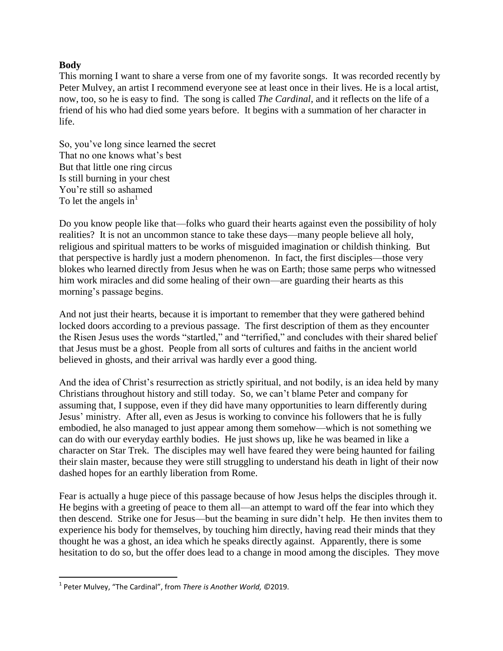## **Body**

 $\overline{\phantom{a}}$ 

This morning I want to share a verse from one of my favorite songs. It was recorded recently by Peter Mulvey, an artist I recommend everyone see at least once in their lives. He is a local artist, now, too, so he is easy to find. The song is called *The Cardinal,* and it reflects on the life of a friend of his who had died some years before. It begins with a summation of her character in life.

So, you've long since learned the secret That no one knows what's best But that little one ring circus Is still burning in your chest You're still so ashamed To let the angels in $<sup>1</sup>$ </sup>

Do you know people like that—folks who guard their hearts against even the possibility of holy realities? It is not an uncommon stance to take these days—many people believe all holy, religious and spiritual matters to be works of misguided imagination or childish thinking. But that perspective is hardly just a modern phenomenon. In fact, the first disciples—those very blokes who learned directly from Jesus when he was on Earth; those same perps who witnessed him work miracles and did some healing of their own—are guarding their hearts as this morning's passage begins.

And not just their hearts, because it is important to remember that they were gathered behind locked doors according to a previous passage. The first description of them as they encounter the Risen Jesus uses the words "startled," and "terrified," and concludes with their shared belief that Jesus must be a ghost. People from all sorts of cultures and faiths in the ancient world believed in ghosts, and their arrival was hardly ever a good thing.

And the idea of Christ's resurrection as strictly spiritual, and not bodily, is an idea held by many Christians throughout history and still today. So, we can't blame Peter and company for assuming that, I suppose, even if they did have many opportunities to learn differently during Jesus' ministry. After all, even as Jesus is working to convince his followers that he is fully embodied, he also managed to just appear among them somehow—which is not something we can do with our everyday earthly bodies. He just shows up, like he was beamed in like a character on Star Trek. The disciples may well have feared they were being haunted for failing their slain master, because they were still struggling to understand his death in light of their now dashed hopes for an earthly liberation from Rome.

Fear is actually a huge piece of this passage because of how Jesus helps the disciples through it. He begins with a greeting of peace to them all—an attempt to ward off the fear into which they then descend. Strike one for Jesus—but the beaming in sure didn't help. He then invites them to experience his body for themselves, by touching him directly, having read their minds that they thought he was a ghost, an idea which he speaks directly against. Apparently, there is some hesitation to do so, but the offer does lead to a change in mood among the disciples. They move

<sup>1</sup> Peter Mulvey, "The Cardinal", from *There is Another World, ©*2019.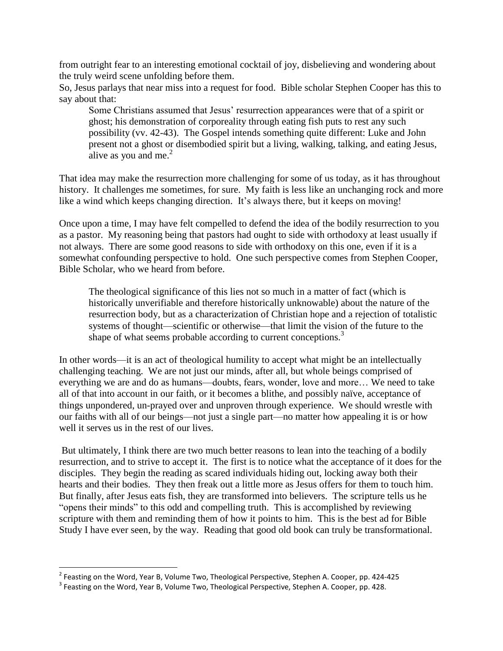from outright fear to an interesting emotional cocktail of joy, disbelieving and wondering about the truly weird scene unfolding before them.

So, Jesus parlays that near miss into a request for food. Bible scholar Stephen Cooper has this to say about that:

Some Christians assumed that Jesus' resurrection appearances were that of a spirit or ghost; his demonstration of corporeality through eating fish puts to rest any such possibility (vv. 42-43). The Gospel intends something quite different: Luke and John present not a ghost or disembodied spirit but a living, walking, talking, and eating Jesus, alive as you and me. $<sup>2</sup>$ </sup>

That idea may make the resurrection more challenging for some of us today, as it has throughout history. It challenges me sometimes, for sure. My faith is less like an unchanging rock and more like a wind which keeps changing direction. It's always there, but it keeps on moving!

Once upon a time, I may have felt compelled to defend the idea of the bodily resurrection to you as a pastor. My reasoning being that pastors had ought to side with orthodoxy at least usually if not always. There are some good reasons to side with orthodoxy on this one, even if it is a somewhat confounding perspective to hold. One such perspective comes from Stephen Cooper, Bible Scholar, who we heard from before.

The theological significance of this lies not so much in a matter of fact (which is historically unverifiable and therefore historically unknowable) about the nature of the resurrection body, but as a characterization of Christian hope and a rejection of totalistic systems of thought—scientific or otherwise—that limit the vision of the future to the shape of what seems probable according to current conceptions.<sup>3</sup>

In other words—it is an act of theological humility to accept what might be an intellectually challenging teaching. We are not just our minds, after all, but whole beings comprised of everything we are and do as humans—doubts, fears, wonder, love and more… We need to take all of that into account in our faith, or it becomes a blithe, and possibly naïve, acceptance of things unpondered, un-prayed over and unproven through experience. We should wrestle with our faiths with all of our beings—not just a single part—no matter how appealing it is or how well it serves us in the rest of our lives.

But ultimately, I think there are two much better reasons to lean into the teaching of a bodily resurrection, and to strive to accept it. The first is to notice what the acceptance of it does for the disciples. They begin the reading as scared individuals hiding out, locking away both their hearts and their bodies. They then freak out a little more as Jesus offers for them to touch him. But finally, after Jesus eats fish, they are transformed into believers. The scripture tells us he "opens their minds" to this odd and compelling truth. This is accomplished by reviewing scripture with them and reminding them of how it points to him. This is the best ad for Bible Study I have ever seen, by the way. Reading that good old book can truly be transformational.

 2 Feasting on the Word, Year B, Volume Two, Theological Perspective, Stephen A. Cooper, pp. 424-425

 $^3$  Feasting on the Word, Year B, Volume Two, Theological Perspective, Stephen A. Cooper, pp. 428.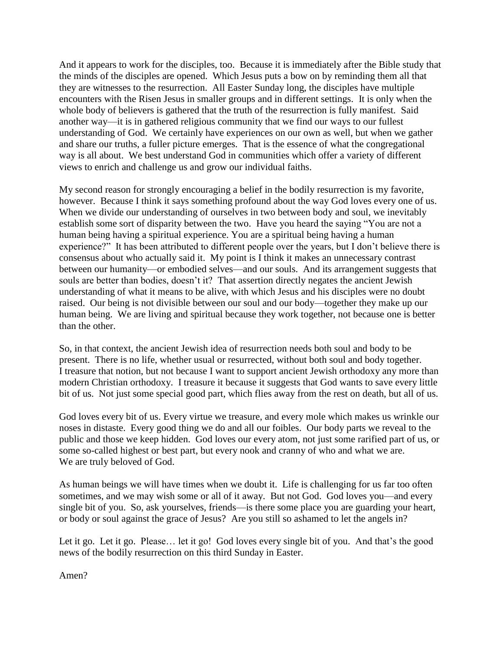And it appears to work for the disciples, too. Because it is immediately after the Bible study that the minds of the disciples are opened. Which Jesus puts a bow on by reminding them all that they are witnesses to the resurrection. All Easter Sunday long, the disciples have multiple encounters with the Risen Jesus in smaller groups and in different settings. It is only when the whole body of believers is gathered that the truth of the resurrection is fully manifest. Said another way—it is in gathered religious community that we find our ways to our fullest understanding of God. We certainly have experiences on our own as well, but when we gather and share our truths, a fuller picture emerges. That is the essence of what the congregational way is all about. We best understand God in communities which offer a variety of different views to enrich and challenge us and grow our individual faiths.

My second reason for strongly encouraging a belief in the bodily resurrection is my favorite, however. Because I think it says something profound about the way God loves every one of us. When we divide our understanding of ourselves in two between body and soul, we inevitably establish some sort of disparity between the two. Have you heard the saying "You are not a human being having a spiritual experience. You are a spiritual being having a human experience?" It has been attributed to different people over the years, but I don't believe there is consensus about who actually said it. My point is I think it makes an unnecessary contrast between our humanity—or embodied selves—and our souls. And its arrangement suggests that souls are better than bodies, doesn't it? That assertion directly negates the ancient Jewish understanding of what it means to be alive, with which Jesus and his disciples were no doubt raised. Our being is not divisible between our soul and our body—together they make up our human being. We are living and spiritual because they work together, not because one is better than the other.

So, in that context, the ancient Jewish idea of resurrection needs both soul and body to be present. There is no life, whether usual or resurrected, without both soul and body together. I treasure that notion, but not because I want to support ancient Jewish orthodoxy any more than modern Christian orthodoxy. I treasure it because it suggests that God wants to save every little bit of us. Not just some special good part, which flies away from the rest on death, but all of us.

God loves every bit of us. Every virtue we treasure, and every mole which makes us wrinkle our noses in distaste. Every good thing we do and all our foibles. Our body parts we reveal to the public and those we keep hidden. God loves our every atom, not just some rarified part of us, or some so-called highest or best part, but every nook and cranny of who and what we are. We are truly beloved of God.

As human beings we will have times when we doubt it. Life is challenging for us far too often sometimes, and we may wish some or all of it away. But not God. God loves you—and every single bit of you. So, ask yourselves, friends—is there some place you are guarding your heart, or body or soul against the grace of Jesus? Are you still so ashamed to let the angels in?

Let it go. Let it go. Please... let it go! God loves every single bit of you. And that's the good news of the bodily resurrection on this third Sunday in Easter.

Amen?